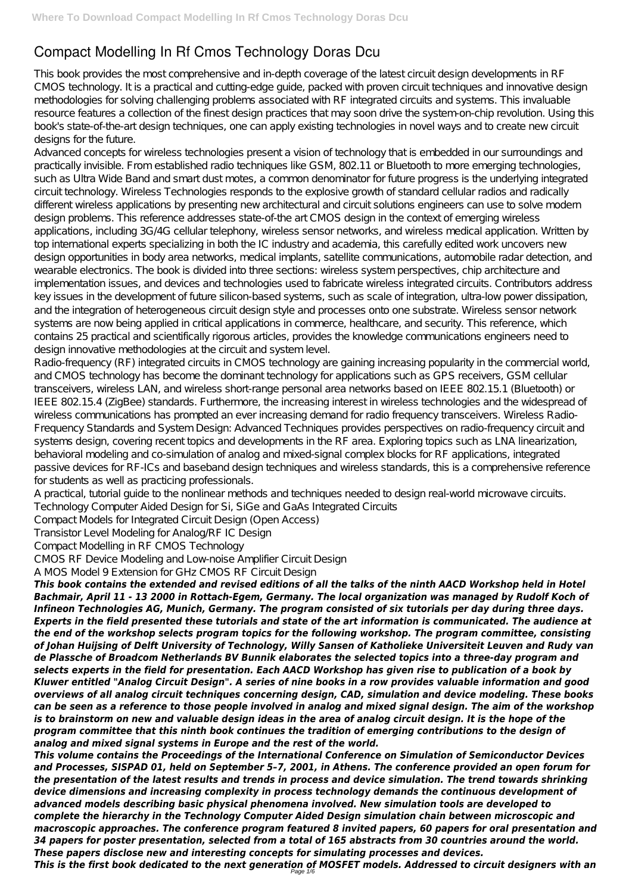# **Compact Modelling In Rf Cmos Technology Doras Dcu**

This book provides the most comprehensive and in-depth coverage of the latest circuit design developments in RF CMOS technology. It is a practical and cutting-edge guide, packed with proven circuit techniques and innovative design methodologies for solving challenging problems associated with RF integrated circuits and systems. This invaluable resource features a collection of the finest design practices that may soon drive the system-on-chip revolution. Using this book's state-of-the-art design techniques, one can apply existing technologies in novel ways and to create new circuit designs for the future.

Advanced concepts for wireless technologies present a vision of technology that is embedded in our surroundings and practically invisible. From established radio techniques like GSM, 802.11 or Bluetooth to more emerging technologies, such as Ultra Wide Band and smart dust motes, a common denominator for future progress is the underlying integrated circuit technology. Wireless Technologies responds to the explosive growth of standard cellular radios and radically different wireless applications by presenting new architectural and circuit solutions engineers can use to solve modern design problems. This reference addresses state-of-the art CMOS design in the context of emerging wireless applications, including 3G/4G cellular telephony, wireless sensor networks, and wireless medical application. Written by top international experts specializing in both the IC industry and academia, this carefully edited work uncovers new design opportunities in body area networks, medical implants, satellite communications, automobile radar detection, and wearable electronics. The book is divided into three sections: wireless system perspectives, chip architecture and implementation issues, and devices and technologies used to fabricate wireless integrated circuits. Contributors address key issues in the development of future silicon-based systems, such as scale of integration, ultra-low power dissipation, and the integration of heterogeneous circuit design style and processes onto one substrate. Wireless sensor network systems are now being applied in critical applications in commerce, healthcare, and security. This reference, which contains 25 practical and scientifically rigorous articles, provides the knowledge communications engineers need to design innovative methodologies at the circuit and system level.

Radio-frequency (RF) integrated circuits in CMOS technology are gaining increasing popularity in the commercial world, and CMOS technology has become the dominant technology for applications such as GPS receivers, GSM cellular transceivers, wireless LAN, and wireless short-range personal area networks based on IEEE 802.15.1 (Bluetooth) or IEEE 802.15.4 (ZigBee) standards. Furthermore, the increasing interest in wireless technologies and the widespread of wireless communications has prompted an ever increasing demand for radio frequency transceivers. Wireless Radio-Frequency Standards and System Design: Advanced Techniques provides perspectives on radio-frequency circuit and systems design, covering recent topics and developments in the RF area. Exploring topics such as LNA linearization, behavioral modeling and co-simulation of analog and mixed-signal complex blocks for RF applications, integrated passive devices for RF-ICs and baseband design techniques and wireless standards, this is a comprehensive reference for students as well as practicing professionals.

A practical, tutorial guide to the nonlinear methods and techniques needed to design real-world microwave circuits. Technology Computer Aided Design for Si, SiGe and GaAs Integrated Circuits

Compact Models for Integrated Circuit Design (Open Access)

Transistor Level Modeling for Analog/RF IC Design

Compact Modelling in RF CMOS Technology

CMOS RF Device Modeling and Low-noise Amplifier Circuit Design

A MOS Model 9 Extension for GHz CMOS RF Circuit Design

*This book contains the extended and revised editions of all the talks of the ninth AACD Workshop held in Hotel Bachmair, April 11 - 13 2000 in Rottach-Egem, Germany. The local organization was managed by Rudolf Koch of Infineon Technologies AG, Munich, Germany. The program consisted of six tutorials per day during three days. Experts in the field presented these tutorials and state of the art information is communicated. The audience at the end of the workshop selects program topics for the following workshop. The program committee, consisting of Johan Huijsing of Delft University of Technology, Willy Sansen of Katholieke Universiteit Leuven and Rudy van de Plassche of Broadcom Netherlands BV Bunnik elaborates the selected topics into a three-day program and selects experts in the field for presentation. Each AACD Workshop has given rise to publication of a book by Kluwer entitled "Analog Circuit Design". A series of nine books in a row provides valuable information and good overviews of all analog circuit techniques concerning design, CAD, simulation and device modeling. These books can be seen as a reference to those people involved in analog and mixed signal design. The aim of the workshop is to brainstorm on new and valuable design ideas in the area of analog circuit design. It is the hope of the program committee that this ninth book continues the tradition of emerging contributions to the design of analog and mixed signal systems in Europe and the rest of the world. This volume contains the Proceedings of the International Conference on Simulation of Semiconductor Devices and Processes, SISPAD 01, held on September 5–7, 2001, in Athens. The conference provided an open forum for the presentation of the latest results and trends in process and device simulation. The trend towards shrinking device dimensions and increasing complexity in process technology demands the continuous development of advanced models describing basic physical phenomena involved. New simulation tools are developed to complete the hierarchy in the Technology Computer Aided Design simulation chain between microscopic and macroscopic approaches. The conference program featured 8 invited papers, 60 papers for oral presentation and 34 papers for poster presentation, selected from a total of 165 abstracts from 30 countries around the world. These papers disclose new and interesting concepts for simulating processes and devices. This is the first book dedicated to the next generation of MOSFET models. Addressed to circuit designers with an* Page 1/6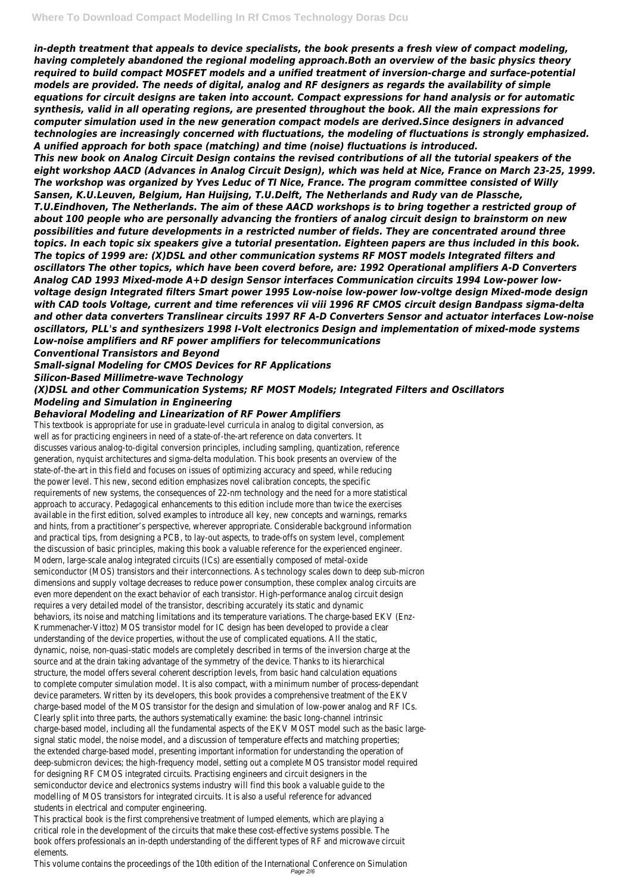*in-depth treatment that appeals to device specialists, the book presents a fresh view of compact modeling, having completely abandoned the regional modeling approach.Both an overview of the basic physics theory required to build compact MOSFET models and a unified treatment of inversion-charge and surface-potential models are provided. The needs of digital, analog and RF designers as regards the availability of simple equations for circuit designs are taken into account. Compact expressions for hand analysis or for automatic synthesis, valid in all operating regions, are presented throughout the book. All the main expressions for computer simulation used in the new generation compact models are derived.Since designers in advanced technologies are increasingly concerned with fluctuations, the modeling of fluctuations is strongly emphasized. A unified approach for both space (matching) and time (noise) fluctuations is introduced. This new book on Analog Circuit Design contains the revised contributions of all the tutorial speakers of the eight workshop AACD (Advances in Analog Circuit Design), which was held at Nice, France on March 23-25, 1999. The workshop was organized by Yves Leduc of TI Nice, France. The program committee consisted of Willy Sansen, K.U.Leuven, Belgium, Han Huijsing, T.U.Delft, The Netherlands and Rudy van de Plassche, T.U.Eindhoven, The Netherlands. The aim of these AACD workshops is to bring together a restricted group of about 100 people who are personally advancing the frontiers of analog circuit design to brainstorm on new possibilities and future developments in a restricted number of fields. They are concentrated around three topics. In each topic six speakers give a tutorial presentation. Eighteen papers are thus included in this book. The topics of 1999 are: (X)DSL and other communication systems RF MOST models Integrated filters and oscillators The other topics, which have been coverd before, are: 1992 Operational amplifiers A-D Converters Analog CAD 1993 Mixed-mode A+D design Sensor interfaces Communication circuits 1994 Low-power lowvoltage design Integrated filters Smart power 1995 Low-noise low-power low-voltge design Mixed-mode design with CAD tools Voltage, current and time references vii viii 1996 RF CMOS circuit design Bandpass sigma-delta and other data converters Translinear circuits 1997 RF A-D Converters Sensor and actuator interfaces Low-noise oscillators, PLL's and synthesizers 1998 I-Volt electronics Design and implementation of mixed-mode systems Low-noise amplifiers and RF power amplifiers for telecommunications*

*Conventional Transistors and Beyond*

*Small-signal Modeling for CMOS Devices for RF Applications*

### *Silicon-Based Millimetre-wave Technology*

*(X)DSL and other Communication Systems; RF MOST Models; Integrated Filters and Oscillators Modeling and Simulation in Engineering*

## *Behavioral Modeling and Linearization of RF Power Amplifiers*

This textbook is appropriate for use in graduate-level curricula in analog to digital conversion, as well as for practicing engineers in need of a state-of-the-art reference on data converters. It discusses various analog-to-digital conversion principles, including sampling, quantization, reference generation, nyquist architectures and sigma-delta modulation. This book presents an overview of the state-of-the-art in this field and focuses on issues of optimizing accuracy and speed, while reducing the power level. This new, second edition emphasizes novel calibration concepts, the specific requirements of new systems, the consequences of 22-nm technology and the need for a more statistical approach to accuracy. Pedagogical enhancements to this edition include more than twice the exercises available in the first edition, solved examples to introduce all key, new concepts and warnings, remarks and hints, from a practitioner's perspective, wherever appropriate. Considerable background information and practical tips, from designing a PCB, to lay-out aspects, to trade-offs on system level, complement the discussion of basic principles, making this book a valuable reference for the experienced engineer. Modern, large-scale analog integrated circuits (ICs) are essentially composed of metal-oxide semiconductor (MOS) transistors and their interconnections. As technology scales down to deep sub-micron dimensions and supply voltage decreases to reduce power consumption, these complex analog circuits are even more dependent on the exact behavior of each transistor. High-performance analog circuit design requires a very detailed model of the transistor, describing accurately its static and dynamic behaviors, its noise and matching limitations and its temperature variations. The charge-based EKV (Enz-Krummenacher-Vittoz) MOS transistor model for IC design has been developed to provide a clear understanding of the device properties, without the use of complicated equations. All the static, dynamic, noise, non-quasi-static models are completely described in terms of the inversion charge at the source and at the drain taking advantage of the symmetry of the device. Thanks to its hierarchical structure, the model offers several coherent description levels, from basic hand calculation equations to complete computer simulation model. It is also compact, with a minimum number of process-dependant device parameters. Written by its developers, this book provides a comprehensive treatment of the EKV charge-based model of the MOS transistor for the design and simulation of low-power analog and RF ICs. Clearly split into three parts, the authors systematically examine: the basic long-channel intrinsic charge-based model, including all the fundamental aspects of the EKV MOST model such as the basic largesignal static model, the noise model, and a discussion of temperature effects and matching properties; the extended charge-based model, presenting important information for understanding the operation of deep-submicron devices; the high-frequency model, setting out a complete MOS transistor model required for designing RF CMOS integrated circuits. Practising engineers and circuit designers in the semiconductor device and electronics systems industry will find this book a valuable guide to the modelling of MOS transistors for integrated circuits. It is also a useful reference for advanced students in electrical and computer engineering. This practical book is the first comprehensive treatment of lumped elements, which are playing a critical role in the development of the circuits that make these cost-effective systems possible. The book offers professionals an in-depth understanding of the different types of RF and microwave circuit elements.

This volume contains the proceedings of the 10th edition of the International Conference on Simulation Page 2/6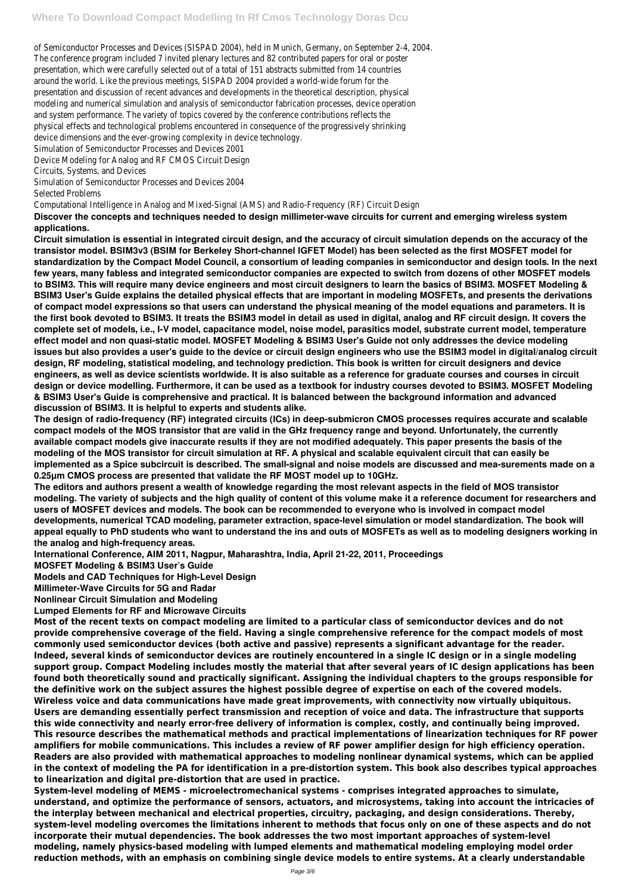of Semiconductor Processes and Devices (SISPAD 2004), held in Munich, Germany, on September 2-4, 2004. The conference program included 7 invited plenary lectures and 82 contributed papers for oral or poster presentation, which were carefully selected out of a total of 151 abstracts submitted from 14 countries around the world. Like the previous meetings, SISPAD 2004 provided a world-wide forum for the presentation and discussion of recent advances and developments in the theoretical description, physical modeling and numerical simulation and analysis of semiconductor fabrication processes, device operation and system performance. The variety of topics covered by the conference contributions reflects the physical effects and technological problems encountered in consequence of the progressively shrinking device dimensions and the ever-growing complexity in device technology. Simulation of Semiconductor Processes and Devices 2001 Device Modeling for Analog and RF CMOS Circuit Design Circuits, Systems, and Devices

Simulation of Semiconductor Processes and Devices 2004 Selected Problems

Computational Intelligence in Analog and Mixed-Signal (AMS) and Radio-Frequency (RF) Circuit Design

**Discover the concepts and techniques needed to design millimeter-wave circuits for current and emerging wireless system applications.**

**Circuit simulation is essential in integrated circuit design, and the accuracy of circuit simulation depends on the accuracy of the transistor model. BSIM3v3 (BSIM for Berkeley Short-channel IGFET Model) has been selected as the first MOSFET model for standardization by the Compact Model Council, a consortium of leading companies in semiconductor and design tools. In the next few years, many fabless and integrated semiconductor companies are expected to switch from dozens of other MOSFET models to BSIM3. This will require many device engineers and most circuit designers to learn the basics of BSIM3. MOSFET Modeling & BSIM3 User's Guide explains the detailed physical effects that are important in modeling MOSFETs, and presents the derivations of compact model expressions so that users can understand the physical meaning of the model equations and parameters. It is the first book devoted to BSIM3. It treats the BSIM3 model in detail as used in digital, analog and RF circuit design. It covers the complete set of models, i.e., I-V model, capacitance model, noise model, parasitics model, substrate current model, temperature effect model and non quasi-static model. MOSFET Modeling & BSIM3 User's Guide not only addresses the device modeling issues but also provides a user's guide to the device or circuit design engineers who use the BSIM3 model in digital/analog circuit design, RF modeling, statistical modeling, and technology prediction. This book is written for circuit designers and device engineers, as well as device scientists worldwide. It is also suitable as a reference for graduate courses and courses in circuit design or device modelling. Furthermore, it can be used as a textbook for industry courses devoted to BSIM3. MOSFET Modeling & BSIM3 User's Guide is comprehensive and practical. It is balanced between the background information and advanced discussion of BSIM3. It is helpful to experts and students alike.**

**The design of radio-frequency (RF) integrated circuits (ICs) in deep-submicron CMOS processes requires accurate and scalable compact models of the MOS transistor that are valid in the GHz frequency range and beyond. Unfortunately, the currently available compact models give inaccurate results if they are not modified adequately. This paper presents the basis of the modeling of the MOS transistor for circuit simulation at RF. A physical and scalable equivalent circuit that can easily be implemented as a Spice subcircuit is described. The small-signal and noise models are discussed and mea-surements made on a 0.25μm CMOS process are presented that validate the RF MOST model up to 10GHz.**

**The editors and authors present a wealth of knowledge regarding the most relevant aspects in the field of MOS transistor modeling. The variety of subjects and the high quality of content of this volume make it a reference document for researchers and users of MOSFET devices and models. The book can be recommended to everyone who is involved in compact model developments, numerical TCAD modeling, parameter extraction, space-level simulation or model standardization. The book will appeal equally to PhD students who want to understand the ins and outs of MOSFETs as well as to modeling designers working in the analog and high-frequency areas.**

**International Conference, AIM 2011, Nagpur, Maharashtra, India, April 21-22, 2011, Proceedings**

**MOSFET Modeling & BSIM3 User's Guide**

**Models and CAD Techniques for High-Level Design**

**Millimeter-Wave Circuits for 5G and Radar**

**Nonlinear Circuit Simulation and Modeling**

**Lumped Elements for RF and Microwave Circuits**

**Most of the recent texts on compact modeling are limited to a particular class of semiconductor devices and do not provide comprehensive coverage of the field. Having a single comprehensive reference for the compact models of most commonly used semiconductor devices (both active and passive) represents a significant advantage for the reader. Indeed, several kinds of semiconductor devices are routinely encountered in a single IC design or in a single modeling support group. Compact Modeling includes mostly the material that after several years of IC design applications has been found both theoretically sound and practically significant. Assigning the individual chapters to the groups responsible for the definitive work on the subject assures the highest possible degree of expertise on each of the covered models. Wireless voice and data communications have made great improvements, with connectivity now virtually ubiquitous. Users are demanding essentially perfect transmission and reception of voice and data. The infrastructure that supports this wide connectivity and nearly error-free delivery of information is complex, costly, and continually being improved. This resource describes the mathematical methods and practical implementations of linearization techniques for RF power amplifiers for mobile communications. This includes a review of RF power amplifier design for high efficiency operation. Readers are also provided with mathematical approaches to modeling nonlinear dynamical systems, which can be applied in the context of modeling the PA for identification in a pre-distortion system. This book also describes typical approaches to linearization and digital pre-distortion that are used in practice. System-level modeling of MEMS - microelectromechanical systems - comprises integrated approaches to simulate, understand, and optimize the performance of sensors, actuators, and microsystems, taking into account the intricacies of the interplay between mechanical and electrical properties, circuitry, packaging, and design considerations. Thereby, system-level modeling overcomes the limitations inherent to methods that focus only on one of these aspects and do not incorporate their mutual dependencies. The book addresses the two most important approaches of system-level modeling, namely physics-based modeling with lumped elements and mathematical modeling employing model order reduction methods, with an emphasis on combining single device models to entire systems. At a clearly understandable**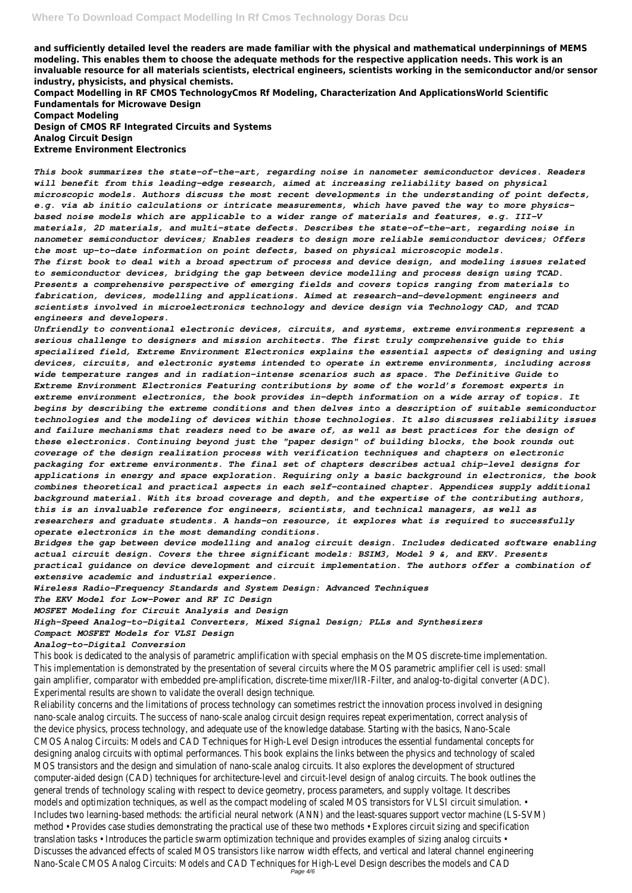**and sufficiently detailed level the readers are made familiar with the physical and mathematical underpinnings of MEMS modeling. This enables them to choose the adequate methods for the respective application needs. This work is an invaluable resource for all materials scientists, electrical engineers, scientists working in the semiconductor and/or sensor industry, physicists, and physical chemists.**

**Compact Modelling in RF CMOS TechnologyCmos Rf Modeling, Characterization And ApplicationsWorld Scientific Fundamentals for Microwave Design**

**Compact Modeling Design of CMOS RF Integrated Circuits and Systems Analog Circuit Design Extreme Environment Electronics**

*This book summarizes the state-of-the-art, regarding noise in nanometer semiconductor devices. Readers will benefit from this leading-edge research, aimed at increasing reliability based on physical microscopic models. Authors discuss the most recent developments in the understanding of point defects, e.g. via ab initio calculations or intricate measurements, which have paved the way to more physicsbased noise models which are applicable to a wider range of materials and features, e.g. III-V materials, 2D materials, and multi-state defects. Describes the state-of-the-art, regarding noise in nanometer semiconductor devices; Enables readers to design more reliable semiconductor devices; Offers the most up-to-date information on point defects, based on physical microscopic models. The first book to deal with a broad spectrum of process and device design, and modeling issues related to semiconductor devices, bridging the gap between device modelling and process design using TCAD. Presents a comprehensive perspective of emerging fields and covers topics ranging from materials to fabrication, devices, modelling and applications. Aimed at research-and-development engineers and scientists involved in microelectronics technology and device design via Technology CAD, and TCAD engineers and developers.*

*Unfriendly to conventional electronic devices, circuits, and systems, extreme environments represent a serious challenge to designers and mission architects. The first truly comprehensive guide to this specialized field, Extreme Environment Electronics explains the essential aspects of designing and using devices, circuits, and electronic systems intended to operate in extreme environments, including across wide temperature ranges and in radiation-intense scenarios such as space. The Definitive Guide to Extreme Environment Electronics Featuring contributions by some of the world's foremost experts in extreme environment electronics, the book provides in-depth information on a wide array of topics. It begins by describing the extreme conditions and then delves into a description of suitable semiconductor technologies and the modeling of devices within those technologies. It also discusses reliability issues and failure mechanisms that readers need to be aware of, as well as best practices for the design of these electronics. Continuing beyond just the "paper design" of building blocks, the book rounds out coverage of the design realization process with verification techniques and chapters on electronic packaging for extreme environments. The final set of chapters describes actual chip-level designs for applications in energy and space exploration. Requiring only a basic background in electronics, the book combines theoretical and practical aspects in each self-contained chapter. Appendices supply additional background material. With its broad coverage and depth, and the expertise of the contributing authors, this is an invaluable reference for engineers, scientists, and technical managers, as well as researchers and graduate students. A hands-on resource, it explores what is required to successfully operate electronics in the most demanding conditions.*

*Bridges the gap between device modelling and analog circuit design. Includes dedicated software enabling actual circuit design. Covers the three significant models: BSIM3, Model 9 &, and EKV. Presents practical guidance on device development and circuit implementation. The authors offer a combination of extensive academic and industrial experience.*

*Wireless Radio-Frequency Standards and System Design: Advanced Techniques*

*The EKV Model for Low-Power and RF IC Design*

*MOSFET Modeling for Circuit Analysis and Design*

*High-Speed Analog-to-Digital Converters, Mixed Signal Design; PLLs and Synthesizers*

#### *Compact MOSFET Models for VLSI Design*

#### *Analog-to-Digital Conversion*

This book is dedicated to the analysis of parametric amplification with special emphasis on the MOS discrete-time implementation. This implementation is demonstrated by the presentation of several circuits where the MOS parametric amplifier cell is used: small gain amplifier, comparator with embedded pre-amplification, discrete-time mixer/IIR-Filter, and analog-to-digital converter (ADC). Experimental results are shown to validate the overall design technique.

Reliability concerns and the limitations of process technology can sometimes restrict the innovation process involved in designing nano-scale analog circuits. The success of nano-scale analog circuit design requires repeat experimentation, correct analysis of the device physics, process technology, and adequate use of the knowledge database. Starting with the basics, Nano-Scale CMOS Analog Circuits: Models and CAD Techniques for High-Level Design introduces the essential fundamental concepts for designing analog circuits with optimal performances. This book explains the links between the physics and technology of scaled MOS transistors and the design and simulation of nano-scale analog circuits. It also explores the development of structured computer-aided design (CAD) techniques for architecture-level and circuit-level design of analog circuits. The book outlines the general trends of technology scaling with respect to device geometry, process parameters, and supply voltage. It describes models and optimization techniques, as well as the compact modeling of scaled MOS transistors for VLSI circuit simulation. • Includes two learning-based methods: the artificial neural network (ANN) and the least-squares support vector machine (LS-SVM) method • Provides case studies demonstrating the practical use of these two methods • Explores circuit sizing and specification translation tasks • Introduces the particle swarm optimization technique and provides examples of sizing analog circuits • Discusses the advanced effects of scaled MOS transistors like narrow width effects, and vertical and lateral channel engineering Nano-Scale CMOS Analog Circuits: Models and CAD Techniques for High-Level Design describes the models and CAD Page 4/6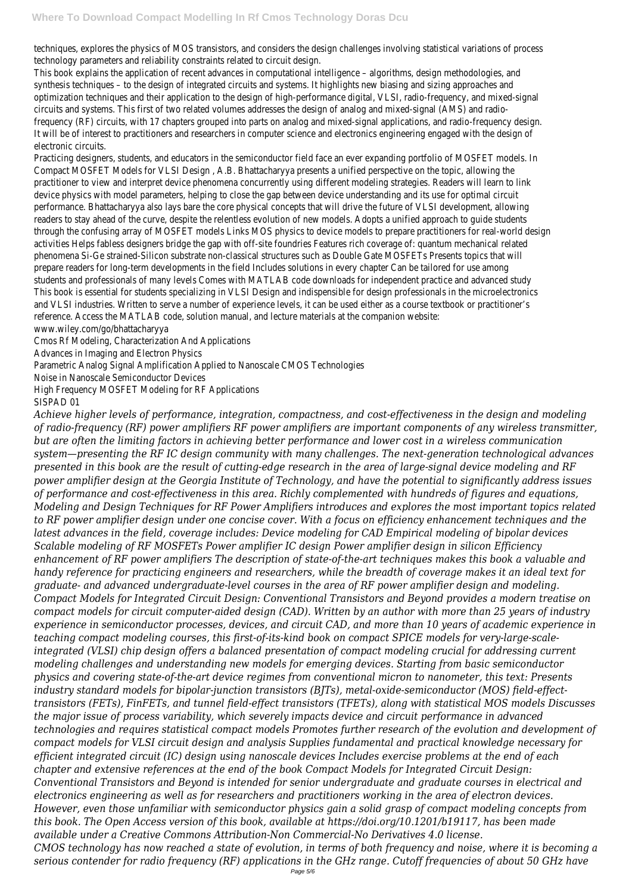techniques, explores the physics of MOS transistors, and considers the design challenges involving statistical variations of process technology parameters and reliability constraints related to circuit design.

This book explains the application of recent advances in computational intelligence – algorithms, design methodologies, and synthesis techniques – to the design of integrated circuits and systems. It highlights new biasing and sizing approaches and optimization techniques and their application to the design of high-performance digital, VLSI, radio-frequency, and mixed-signal circuits and systems. This first of two related volumes addresses the design of analog and mixed-signal (AMS) and radiofrequency (RF) circuits, with 17 chapters grouped into parts on analog and mixed-signal applications, and radio-frequency design. It will be of interest to practitioners and researchers in computer science and electronics engineering engaged with the design of electronic circuits.

Practicing designers, students, and educators in the semiconductor field face an ever expanding portfolio of MOSFET models. In Compact MOSFET Models for VLSI Design , A.B. Bhattacharyya presents a unified perspective on the topic, allowing the practitioner to view and interpret device phenomena concurrently using different modeling strategies. Readers will learn to link device physics with model parameters, helping to close the gap between device understanding and its use for optimal circuit performance. Bhattacharyya also lays bare the core physical concepts that will drive the future of VLSI development, allowing readers to stay ahead of the curve, despite the relentless evolution of new models. Adopts a unified approach to guide students through the confusing array of MOSFET models Links MOS physics to device models to prepare practitioners for real-world design activities Helps fabless designers bridge the gap with off-site foundries Features rich coverage of: quantum mechanical related phenomena Si-Ge strained-Silicon substrate non-classical structures such as Double Gate MOSFETs Presents topics that will prepare readers for long-term developments in the field Includes solutions in every chapter Can be tailored for use among students and professionals of many levels Comes with MATLAB code downloads for independent practice and advanced study This book is essential for students specializing in VLSI Design and indispensible for design professionals in the microelectronics and VLSI industries. Written to serve a number of experience levels, it can be used either as a course textbook or practitioner's reference. Access the MATLAB code, solution manual, and lecture materials at the companion website:

www.wiley.com/go/bhattacharyya

Cmos Rf Modeling, Characterization And Applications

Advances in Imaging and Electron Physics

Parametric Analog Signal Amplification Applied to Nanoscale CMOS Technologies

Noise in Nanoscale Semiconductor Devices

High Frequency MOSFET Modeling for RF Applications

## SISPAD 01

*Achieve higher levels of performance, integration, compactness, and cost-effectiveness in the design and modeling of radio-frequency (RF) power amplifiers RF power amplifiers are important components of any wireless transmitter, but are often the limiting factors in achieving better performance and lower cost in a wireless communication system—presenting the RF IC design community with many challenges. The next-generation technological advances presented in this book are the result of cutting-edge research in the area of large-signal device modeling and RF power amplifier design at the Georgia Institute of Technology, and have the potential to significantly address issues of performance and cost-effectiveness in this area. Richly complemented with hundreds of figures and equations, Modeling and Design Techniques for RF Power Amplifiers introduces and explores the most important topics related to RF power amplifier design under one concise cover. With a focus on efficiency enhancement techniques and the latest advances in the field, coverage includes: Device modeling for CAD Empirical modeling of bipolar devices Scalable modeling of RF MOSFETs Power amplifier IC design Power amplifier design in silicon Efficiency enhancement of RF power amplifiers The description of state-of-the-art techniques makes this book a valuable and handy reference for practicing engineers and researchers, while the breadth of coverage makes it an ideal text for graduate- and advanced undergraduate-level courses in the area of RF power amplifier design and modeling. Compact Models for Integrated Circuit Design: Conventional Transistors and Beyond provides a modern treatise on compact models for circuit computer-aided design (CAD). Written by an author with more than 25 years of industry experience in semiconductor processes, devices, and circuit CAD, and more than 10 years of academic experience in teaching compact modeling courses, this first-of-its-kind book on compact SPICE models for very-large-scaleintegrated (VLSI) chip design offers a balanced presentation of compact modeling crucial for addressing current modeling challenges and understanding new models for emerging devices. Starting from basic semiconductor physics and covering state-of-the-art device regimes from conventional micron to nanometer, this text: Presents industry standard models for bipolar-junction transistors (BJTs), metal-oxide-semiconductor (MOS) field-effecttransistors (FETs), FinFETs, and tunnel field-effect transistors (TFETs), along with statistical MOS models Discusses the major issue of process variability, which severely impacts device and circuit performance in advanced technologies and requires statistical compact models Promotes further research of the evolution and development of compact models for VLSI circuit design and analysis Supplies fundamental and practical knowledge necessary for efficient integrated circuit (IC) design using nanoscale devices Includes exercise problems at the end of each chapter and extensive references at the end of the book Compact Models for Integrated Circuit Design: Conventional Transistors and Beyond is intended for senior undergraduate and graduate courses in electrical and electronics engineering as well as for researchers and practitioners working in the area of electron devices. However, even those unfamiliar with semiconductor physics gain a solid grasp of compact modeling concepts from this book. The Open Access version of this book, available at https://doi.org/10.1201/b19117, has been made available under a Creative Commons Attribution-Non Commercial-No Derivatives 4.0 license. CMOS technology has now reached a state of evolution, in terms of both frequency and noise, where it is becoming a serious contender for radio frequency (RF) applications in the GHz range. Cutoff frequencies of about 50 GHz have* Page 5/6